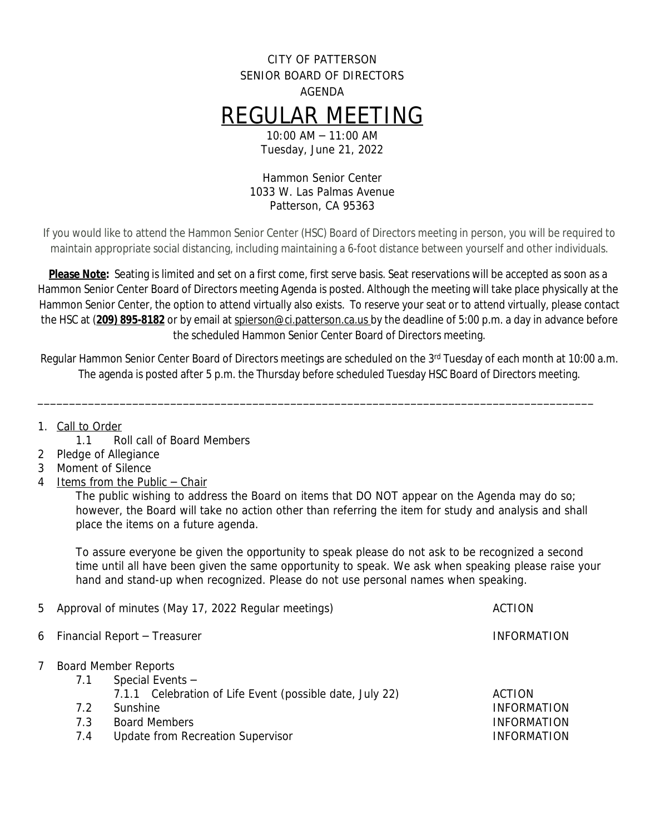## CITY OF PATTERSON SENIOR BOARD OF DIRECTORS AGENDA REGULAR MEETING 10:00 AM – 11:00 AM

Tuesday, June 21, 2022

Hammon Senior Center 1033 W. Las Palmas Avenue Patterson, CA 95363

If you would like to attend the Hammon Senior Center (HSC) Board of Directors meeting in person, you will be required to maintain appropriate social distancing, including maintaining a 6-foot distance between yourself and other individuals.

**Please Note:** Seating is limited and set on a first come, first serve basis. Seat reservations will be accepted as soon as a Hammon Senior Center Board of Directors meeting Agenda is posted. Although the meeting will take place physically at the Hammon Senior Center, the option to attend virtually also exists. To reserve your seat or to attend virtually, please contact the HSC at (**209) 895-8182** or by email at [spierson@ci.patterson.ca.us](mailto:spierson@ci.patterson.ca.us) by the deadline of 5:00 p.m. a day in advance before the scheduled Hammon Senior Center Board of Directors meeting.

Regular Hammon Senior Center Board of Directors meetings are scheduled on the 3rd Tuesday of each month at 10:00 a.m. The agenda is posted after 5 p.m. the Thursday before scheduled Tuesday HSC Board of Directors meeting.

\_\_\_\_\_\_\_\_\_\_\_\_\_\_\_\_\_\_\_\_\_\_\_\_\_\_\_\_\_\_\_\_\_\_\_\_\_\_\_\_\_\_\_\_\_\_\_\_\_\_\_\_\_\_\_\_\_\_\_\_\_\_\_\_\_\_\_\_\_\_\_\_\_\_\_\_\_\_\_\_\_\_\_\_\_\_\_\_

- 1. Call to Order
	- 1.1 Roll call of Board Members
- 2 Pledge of Allegiance
- 3 Moment of Silence
- 4 Items from the Public Chair

The public wishing to address the Board on items that DO NOT appear on the Agenda may do so; however, the Board will take no action other than referring the item for study and analysis and shall place the items on a future agenda.

To assure everyone be given the opportunity to speak please do not ask to be recognized a second time until all have been given the same opportunity to speak. We ask when speaking please raise your hand and stand-up when recognized. Please do not use personal names when speaking.

|   | 5 Approval of minutes (May 17, 2022 Regular meetings) |                                                                                                             | <b>ACTION</b>                                                  |
|---|-------------------------------------------------------|-------------------------------------------------------------------------------------------------------------|----------------------------------------------------------------|
|   | 6 Financial Report - Treasurer                        |                                                                                                             | <b>INFORMATION</b>                                             |
| 7 | 7.1                                                   | <b>Board Member Reports</b><br>Special Events -<br>7.1.1 Celebration of Life Event (possible date, July 22) | <b>ACTION</b>                                                  |
|   | 7.2<br>7.3<br>7.4                                     | Sunshine<br><b>Board Members</b><br>Update from Recreation Supervisor                                       | <b>INFORMATION</b><br><b>INFORMATION</b><br><b>INFORMATION</b> |
|   |                                                       |                                                                                                             |                                                                |